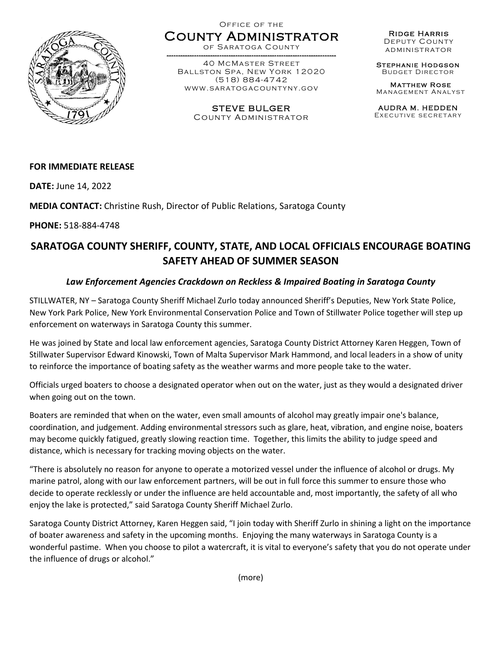

## Office of the County Administrator

of Saratoga County

------ ---------------------------- ---------------------------------------- 40 McMaster Street Ballston Spa, New York 12020 (518) 884-4742 www.saratogacountyny.gov

> STEVE BULGER County Administrator

Ridge Harris Deputy County administrator

Stephanie Hodgson Budget Director

Matthew Rose Management Analyst

AUDRA M. HEDDEN Executive secretary

### **FOR IMMEDIATE RELEASE**

**DATE:** June 14, 2022

**MEDIA CONTACT:** Christine Rush, Director of Public Relations, Saratoga County

**PHONE:** 518-884-4748

# **SARATOGA COUNTY SHERIFF, COUNTY, STATE, AND LOCAL OFFICIALS ENCOURAGE BOATING SAFETY AHEAD OF SUMMER SEASON**

### *Law Enforcement Agencies Crackdown on Reckless & Impaired Boating in Saratoga County*

STILLWATER, NY – Saratoga County Sheriff Michael Zurlo today announced Sheriff's Deputies, New York State Police, New York Park Police, New York Environmental Conservation Police and Town of Stillwater Police together will step up enforcement on waterways in Saratoga County this summer.

He was joined by State and local law enforcement agencies, Saratoga County District Attorney Karen Heggen, Town of Stillwater Supervisor Edward Kinowski, Town of Malta Supervisor Mark Hammond, and local leaders in a show of unity to reinforce the importance of boating safety as the weather warms and more people take to the water.

Officials urged boaters to choose a designated operator when out on the water, just as they would a designated driver when going out on the town.

Boaters are reminded that when on the water, even small amounts of alcohol may greatly impair one's balance, coordination, and judgement. Adding environmental stressors such as glare, heat, vibration, and engine noise, boaters may become quickly fatigued, greatly slowing reaction time. Together, this limits the ability to judge speed and distance, which is necessary for tracking moving objects on the water.

"There is absolutely no reason for anyone to operate a motorized vessel under the influence of alcohol or drugs. My marine patrol, along with our law enforcement partners, will be out in full force this summer to ensure those who decide to operate recklessly or under the influence are held accountable and, most importantly, the safety of all who enjoy the lake is protected," said Saratoga County Sheriff Michael Zurlo.

Saratoga County District Attorney, Karen Heggen said, "I join today with Sheriff Zurlo in shining a light on the importance of boater awareness and safety in the upcoming months. Enjoying the many waterways in Saratoga County is a wonderful pastime. When you choose to pilot a watercraft, it is vital to everyone's safety that you do not operate under the influence of drugs or alcohol."

(more)